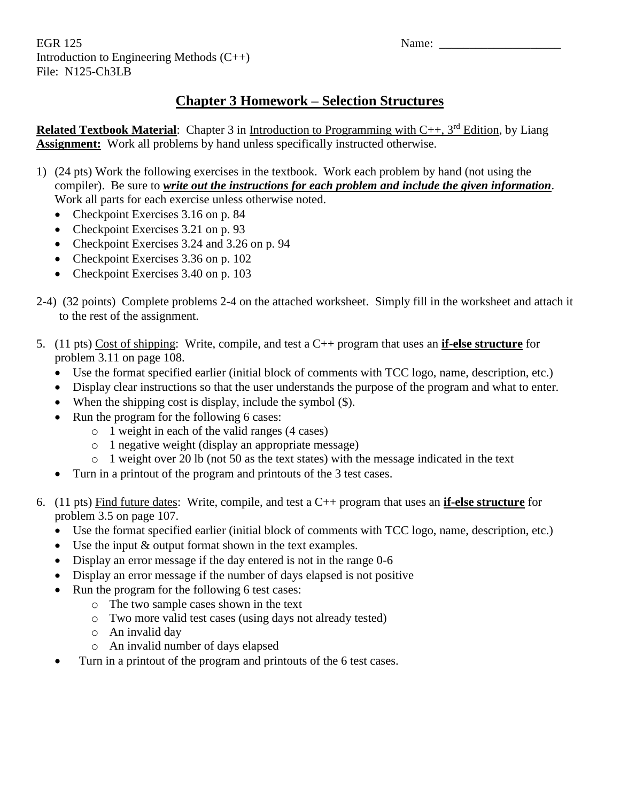EGR 125 Name: Introduction to Engineering Methods (C++) File: N125-Ch3LB

## **Chapter 3 Homework – Selection Structures**

**Related Textbook Material**: Chapter 3 in Introduction to Programming with C++, 3<sup>rd</sup> Edition, by Liang **Assignment:** Work all problems by hand unless specifically instructed otherwise.

- 1) (24 pts) Work the following exercises in the textbook. Work each problem by hand (not using the compiler). Be sure to *write out the instructions for each problem and include the given information*. Work all parts for each exercise unless otherwise noted.
	- Checkpoint Exercises 3.16 on p. 84
	- Checkpoint Exercises 3.21 on p. 93
	- Checkpoint Exercises 3.24 and 3.26 on p. 94
	- Checkpoint Exercises 3.36 on p. 102
	- Checkpoint Exercises 3.40 on p. 103
- 2-4) (32 points) Complete problems 2-4 on the attached worksheet. Simply fill in the worksheet and attach it to the rest of the assignment.
- 5. (11 pts) Cost of shipping: Write, compile, and test a C++ program that uses an **if-else structure** for problem 3.11 on page 108.
	- Use the format specified earlier (initial block of comments with TCC logo, name, description, etc.)
	- Display clear instructions so that the user understands the purpose of the program and what to enter.
	- When the shipping cost is display, include the symbol  $(\$)$ .
	- Run the program for the following 6 cases:
		- o 1 weight in each of the valid ranges (4 cases)
		- o 1 negative weight (display an appropriate message)
		- o 1 weight over 20 lb (not 50 as the text states) with the message indicated in the text
	- Turn in a printout of the program and printouts of the 3 test cases.
- 6. (11 pts) Find future dates: Write, compile, and test a C++ program that uses an **if-else structure** for problem 3.5 on page 107.
	- Use the format specified earlier (initial block of comments with TCC logo, name, description, etc.)
	- $\bullet$  Use the input  $\&$  output format shown in the text examples.
	- Display an error message if the day entered is not in the range 0-6
	- Display an error message if the number of days elapsed is not positive
	- Run the program for the following 6 test cases:
		- o The two sample cases shown in the text
		- o Two more valid test cases (using days not already tested)
		- o An invalid day
		- o An invalid number of days elapsed
	- Turn in a printout of the program and printouts of the 6 test cases.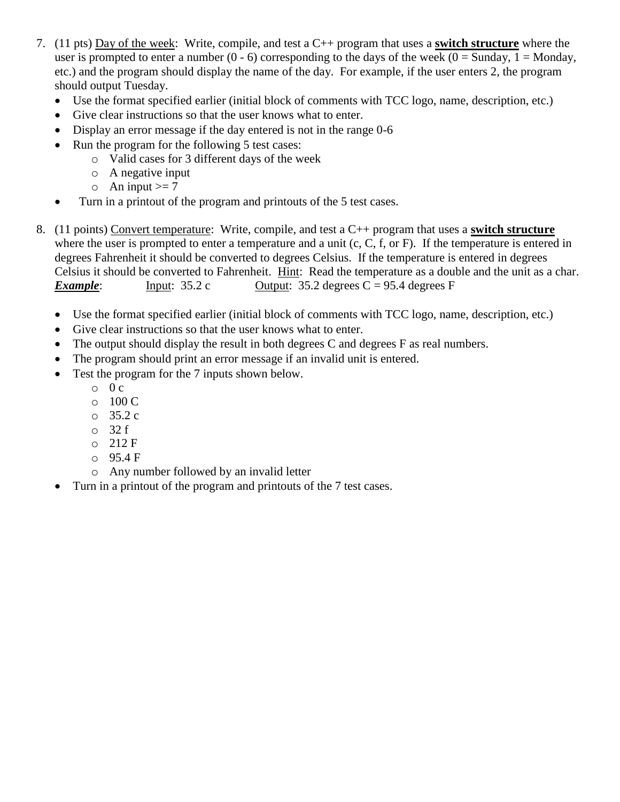- 7. (11 pts) Day of the week: Write, compile, and test a C++ program that uses a **switch structure** where the user is prompted to enter a number  $(0 - 6)$  corresponding to the days of the week  $(0 = \text{Sunday}, 1 = \text{Monday})$ , etc.) and the program should display the name of the day. For example, if the user enters 2, the program should output Tuesday.
	- Use the format specified earlier (initial block of comments with TCC logo, name, description, etc.)
	- Give clear instructions so that the user knows what to enter.
	- Display an error message if the day entered is not in the range 0-6
	- Run the program for the following 5 test cases:
		- o Valid cases for 3 different days of the week
		- o A negative input
		- $\circ$  An input  $>= 7$
	- Turn in a printout of the program and printouts of the 5 test cases.
- 8. (11 points) Convert temperature: Write, compile, and test a C++ program that uses a **switch structure** where the user is prompted to enter a temperature and a unit (c, C, f, or F). If the temperature is entered in degrees Fahrenheit it should be converted to degrees Celsius. If the temperature is entered in degrees Celsius it should be converted to Fahrenheit. Hint: Read the temperature as a double and the unit as a char. *Example*: Input:  $35.2 \text{ c}$  Output:  $35.2 \text{ degrees } C = 95.4 \text{ degrees } F$ 
	- Use the format specified earlier (initial block of comments with TCC logo, name, description, etc.)
	- Give clear instructions so that the user knows what to enter.
	- The output should display the result in both degrees C and degrees F as real numbers.
	- The program should print an error message if an invalid unit is entered.
	- Test the program for the 7 inputs shown below.
		- $\circ$  0 c
		- o 100 C
		- o 35.2 c
		- o 32 f
		- o 212 F
		- o 95.4 F
		- o Any number followed by an invalid letter
	- Turn in a printout of the program and printouts of the 7 test cases.